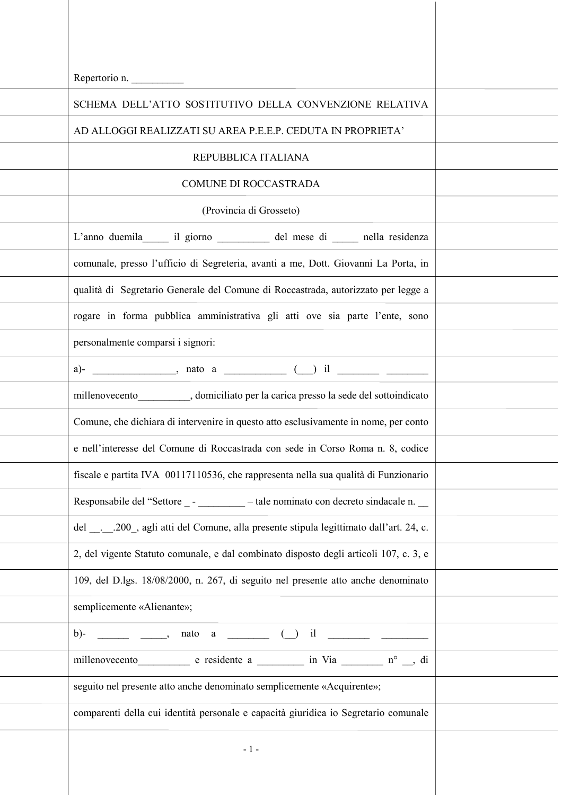| Repertorio n.                                                                          |  |
|----------------------------------------------------------------------------------------|--|
| SCHEMA DELL'ATTO SOSTITUTIVO DELLA CONVENZIONE RELATIVA                                |  |
| AD ALLOGGI REALIZZATI SU AREA P.E.E.P. CEDUTA IN PROPRIETA'                            |  |
| REPUBBLICA ITALIANA                                                                    |  |
| COMUNE DI ROCCASTRADA                                                                  |  |
| (Provincia di Grosseto)                                                                |  |
| L'anno duemila il giorno _______ del mese di ____ nella residenza                      |  |
| comunale, presso l'ufficio di Segreteria, avanti a me, Dott. Giovanni La Porta, in     |  |
| qualità di Segretario Generale del Comune di Roccastrada, autorizzato per legge a      |  |
| rogare in forma pubblica amministrativa gli atti ove sia parte l'ente, sono            |  |
| personalmente comparsi i signori:                                                      |  |
|                                                                                        |  |
| millenovecento____________, domiciliato per la carica presso la sede del sottoindicato |  |
| Comune, che dichiara di intervenire in questo atto esclusivamente in nome, per conto   |  |
| e nell'interesse del Comune di Roccastrada con sede in Corso Roma n. 8, codice         |  |
| fiscale e partita IVA 00117110536, che rappresenta nella sua qualità di Funzionario    |  |
| Responsabile del "Settore _ - ________ – tale nominato con decreto sindacale n. __     |  |
| del200, agli atti del Comune, alla presente stipula legittimato dall'art. 24, c.       |  |
| 2, del vigente Statuto comunale, e dal combinato disposto degli articoli 107, c. 3, e  |  |
| 109, del D.lgs. 18/08/2000, n. 267, di seguito nel presente atto anche denominato      |  |
| semplicemente «Alienante»;                                                             |  |
|                                                                                        |  |
| millenovecento e residente a in Via nº si di                                           |  |
| seguito nel presente atto anche denominato semplicemente «Acquirente»;                 |  |
| comparenti della cui identità personale e capacità giuridica io Segretario comunale    |  |
| $-1-$                                                                                  |  |
|                                                                                        |  |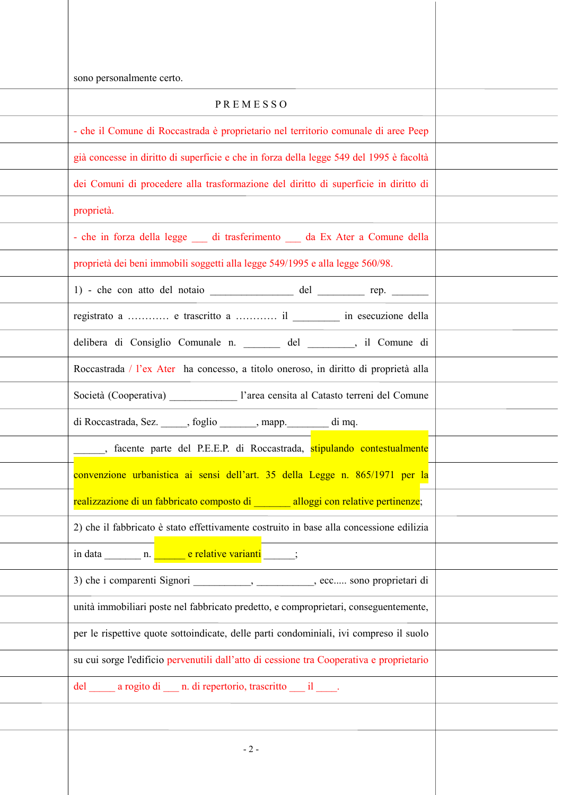| sono personalmente certo.                                                                 |  |
|-------------------------------------------------------------------------------------------|--|
| PREMESSO                                                                                  |  |
| - che il Comune di Roccastrada è proprietario nel territorio comunale di aree Peep        |  |
| già concesse in diritto di superficie e che in forza della legge 549 del 1995 è facoltà   |  |
| dei Comuni di procedere alla trasformazione del diritto di superficie in diritto di       |  |
| proprietà.                                                                                |  |
| - che in forza della legge __ di trasferimento __ da Ex Ater a Comune della               |  |
| proprietà dei beni immobili soggetti alla legge 549/1995 e alla legge 560/98.             |  |
| 1) - che con atto del notaio __________________ del ___________ rep. ________             |  |
| registrato a  e trascritto a  il __________ in esecuzione della                           |  |
| delibera di Consiglio Comunale n. _______ del _______, il Comune di                       |  |
| Roccastrada / l'ex Ater ha concesso, a titolo oneroso, in diritto di proprietà alla       |  |
| Società (Cooperativa) _____________________ l'area censita al Catasto terreni del Comune  |  |
| di Roccastrada, Sez. _____, foglio ______, mapp. ______ di mq.                            |  |
| Н<br>s facente parte del P.E.E.P. di Roccastrada, <mark>stipulando contestualmente</mark> |  |
| convenzione urbanistica ai sensi dell'art. 35 della Legge n. 865/1971 per la              |  |
| realizzazione di un fabbricato composto di _______ alloggi con relative pertinenze;       |  |
| 2) che il fabbricato è stato effettivamente costruito in base alla concessione edilizia   |  |
|                                                                                           |  |
| 3) che i comparenti Signori __________, _________, ecc sono proprietari di                |  |
| unità immobiliari poste nel fabbricato predetto, e comproprietari, conseguentemente,      |  |
| per le rispettive quote sottoindicate, delle parti condominiali, ivi compreso il suolo    |  |
| su cui sorge l'edificio pervenutili dall'atto di cessione tra Cooperativa e proprietario  |  |
| del a rogito di n. di repertorio, trascritto il .                                         |  |
|                                                                                           |  |
| $-2-$                                                                                     |  |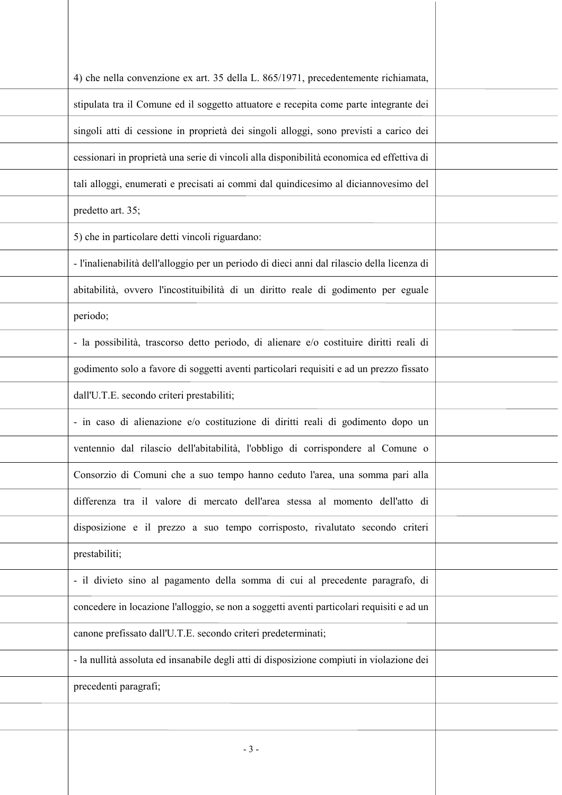| 4) che nella convenzione ex art. 35 della L. 865/1971, precedentemente richiamata,          |  |
|---------------------------------------------------------------------------------------------|--|
| stipulata tra il Comune ed il soggetto attuatore e recepita come parte integrante dei       |  |
| singoli atti di cessione in proprietà dei singoli alloggi, sono previsti a carico dei       |  |
| cessionari in proprietà una serie di vincoli alla disponibilità economica ed effettiva di   |  |
| tali alloggi, enumerati e precisati ai commi dal quindicesimo al diciannovesimo del         |  |
| predetto art. 35;                                                                           |  |
| 5) che in particolare detti vincoli riguardano:                                             |  |
| - l'inalienabilità dell'alloggio per un periodo di dieci anni dal rilascio della licenza di |  |
| abitabilità, ovvero l'incostituibilità di un diritto reale di godimento per eguale          |  |
| periodo;                                                                                    |  |
| - la possibilità, trascorso detto periodo, di alienare e/o costituire diritti reali di      |  |
| godimento solo a favore di soggetti aventi particolari requisiti e ad un prezzo fissato     |  |
| dall'U.T.E. secondo criteri prestabiliti;                                                   |  |
| - in caso di alienazione e/o costituzione di diritti reali di godimento dopo un             |  |
| ventennio dal rilascio dell'abitabilità, l'obbligo di corrispondere al Comune o             |  |
| Consorzio di Comuni che a suo tempo hanno ceduto l'area, una somma pari alla                |  |
| differenza tra il valore di mercato dell'area stessa al momento dell'atto di                |  |
| disposizione e il prezzo a suo tempo corrisposto, rivalutato secondo criteri                |  |
| prestabiliti;                                                                               |  |
| - il divieto sino al pagamento della somma di cui al precedente paragrafo, di               |  |
| concedere in locazione l'alloggio, se non a soggetti aventi particolari requisiti e ad un   |  |
| canone prefissato dall'U.T.E. secondo criteri predeterminati;                               |  |
| - la nullità assoluta ed insanabile degli atti di disposizione compiuti in violazione dei   |  |
| precedenti paragrafi;                                                                       |  |
|                                                                                             |  |
| $-3-$                                                                                       |  |
|                                                                                             |  |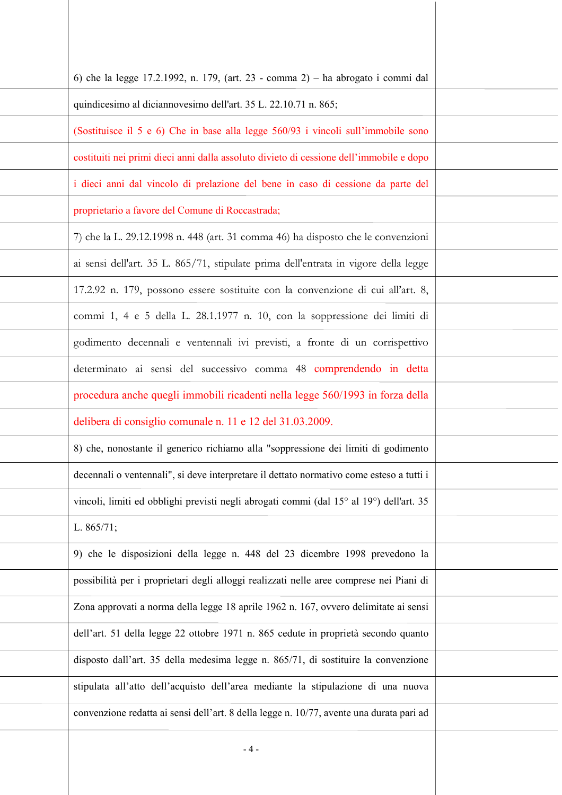| 6) che la legge 17.2.1992, n. 179, (art. 23 - comma 2) – ha abrogato i commi dal                                 |  |
|------------------------------------------------------------------------------------------------------------------|--|
| quindicesimo al diciannovesimo dell'art. 35 L. 22.10.71 n. 865;                                                  |  |
| (Sostituisce il 5 e 6) Che in base alla legge 560/93 i vincoli sull'immobile sono                                |  |
| costituiti nei primi dieci anni dalla assoluto divieto di cessione dell'immobile e dopo                          |  |
| i dieci anni dal vincolo di prelazione del bene in caso di cessione da parte del                                 |  |
| proprietario a favore del Comune di Roccastrada;                                                                 |  |
| 7) che la L. 29.12.1998 n. 448 (art. 31 comma 46) ha disposto che le convenzioni                                 |  |
| ai sensi dell'art. 35 L. 865/71, stipulate prima dell'entrata in vigore della legge                              |  |
| 17.2.92 n. 179, possono essere sostituite con la convenzione di cui all'art. 8,                                  |  |
| commi 1, 4 e 5 della L. 28.1.1977 n. 10, con la soppressione dei limiti di                                       |  |
| godimento decennali e ventennali ivi previsti, a fronte di un corrispettivo                                      |  |
| determinato ai sensi del successivo comma 48 comprendendo in detta                                               |  |
| procedura anche quegli immobili ricadenti nella legge 560/1993 in forza della                                    |  |
| delibera di consiglio comunale n. 11 e 12 del 31.03.2009.                                                        |  |
| 8) che, nonostante il generico richiamo alla "soppressione dei limiti di godimento                               |  |
| decennali o ventennali", si deve interpretare il dettato normativo come esteso a tutti i                         |  |
| vincoli, limiti ed obblighi previsti negli abrogati commi (dal 15 <sup>°</sup> al 19 <sup>°</sup> ) dell'art. 35 |  |
| L. $865/71$ ;                                                                                                    |  |
| 9) che le disposizioni della legge n. 448 del 23 dicembre 1998 prevedono la                                      |  |
| possibilità per i proprietari degli alloggi realizzati nelle aree comprese nei Piani di                          |  |
| Zona approvati a norma della legge 18 aprile 1962 n. 167, ovvero delimitate ai sensi                             |  |
| dell'art. 51 della legge 22 ottobre 1971 n. 865 cedute in proprietà secondo quanto                               |  |
| disposto dall'art. 35 della medesima legge n. 865/71, di sostituire la convenzione                               |  |
| stipulata all'atto dell'acquisto dell'area mediante la stipulazione di una nuova                                 |  |
| convenzione redatta ai sensi dell'art. 8 della legge n. 10/77, avente una durata pari ad                         |  |
| - 4 -                                                                                                            |  |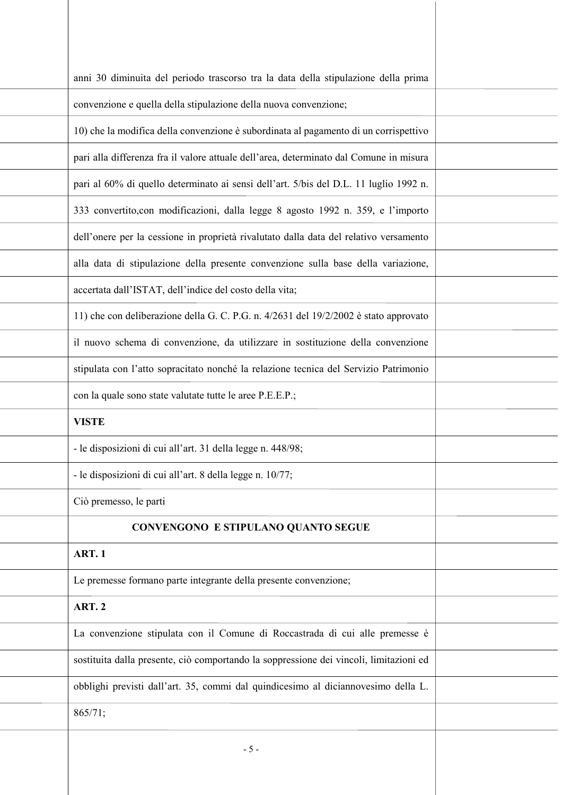| anni 30 diminuita del periodo trascorso tra la data della stipulazione della prima       |  |
|------------------------------------------------------------------------------------------|--|
| convenzione e quella della stipulazione della nuova convenzione;                         |  |
| 10) che la modifica della convenzione è subordinata al pagamento di un corrispettivo     |  |
| pari alla differenza fra il valore attuale dell'area, determinato dal Comune in misura   |  |
| pari al 60% di quello determinato ai sensi dell'art. 5/bis del D.L. 11 luglio 1992 n.    |  |
| 333 convertito, con modificazioni, dalla legge 8 agosto 1992 n. 359, e l'importo         |  |
| dell'onere per la cessione in proprietà rivalutato dalla data del relativo versamento    |  |
| alla data di stipulazione della presente convenzione sulla base della variazione,        |  |
| accertata dall'ISTAT, dell'indice del costo della vita;                                  |  |
| 11) che con deliberazione della G. C. P.G. n. $4/2631$ del $19/2/2002$ è stato approvato |  |
| il nuovo schema di convenzione, da utilizzare in sostituzione della convenzione          |  |
| stipulata con l'atto sopracitato nonché la relazione tecnica del Servizio Patrimonio     |  |
| con la quale sono state valutate tutte le aree P.E.E.P.;                                 |  |
| <b>VISTE</b>                                                                             |  |
| - le disposizioni di cui all'art. 31 della legge n. 448/98;                              |  |
| - le disposizioni di cui all'art. 8 della legge n. 10/77;                                |  |
| Ciò premesso, le parti                                                                   |  |
| <b>CONVENGONO E STIPULANO QUANTO SEGUE</b>                                               |  |
| <b>ART.1</b>                                                                             |  |
| Le premesse formano parte integrante della presente convenzione;                         |  |
| <b>ART. 2</b>                                                                            |  |
| La convenzione stipulata con il Comune di Roccastrada di cui alle premesse è             |  |
| sostituita dalla presente, ciò comportando la soppressione dei vincoli, limitazioni ed   |  |
| obblighi previsti dall'art. 35, commi dal quindicesimo al diciannovesimo della L.        |  |
| 865/71;                                                                                  |  |
| $-5 -$                                                                                   |  |
|                                                                                          |  |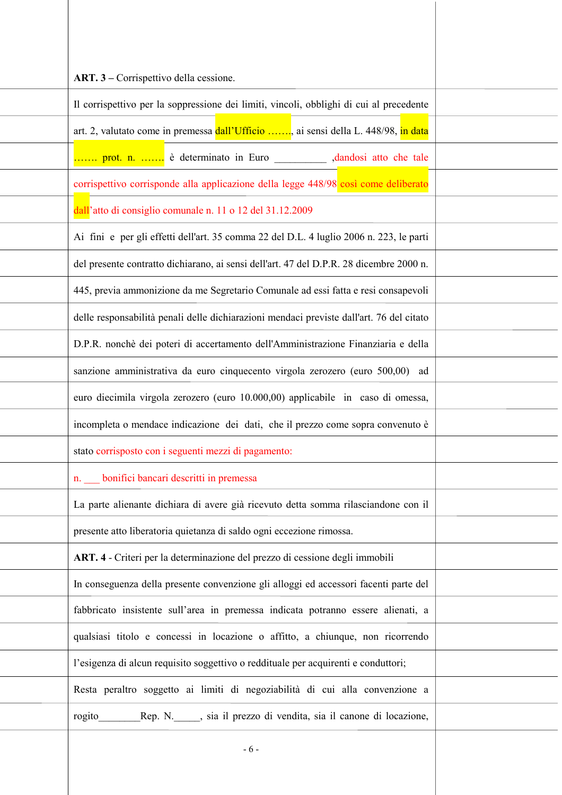| ART. 3 – Corrispettivo della cessione.                                                   |  |
|------------------------------------------------------------------------------------------|--|
|                                                                                          |  |
| Il corrispettivo per la soppressione dei limiti, vincoli, obblighi di cui al precedente  |  |
| art. 2, valutato come in premessa dall'Ufficio , ai sensi della L. 448/98, in data       |  |
| prot. n.  è determinato in Euro ____________ ,dandosi atto che tale                      |  |
| corrispettivo corrisponde alla applicazione della legge 448/98 così come deliberato      |  |
| dall'atto di consiglio comunale n. 11 o 12 del 31.12.2009                                |  |
| Ai fini e per gli effetti dell'art. 35 comma 22 del D.L. 4 luglio 2006 n. 223, le parti  |  |
| del presente contratto dichiarano, ai sensi dell'art. 47 del D.P.R. 28 dicembre 2000 n.  |  |
| 445, previa ammonizione da me Segretario Comunale ad essi fatta e resi consapevoli       |  |
| delle responsabilità penali delle dichiarazioni mendaci previste dall'art. 76 del citato |  |
| D.P.R. nonchè dei poteri di accertamento dell'Amministrazione Finanziaria e della        |  |
| sanzione amministrativa da euro cinquecento virgola zerozero (euro 500,00) ad            |  |
| euro diecimila virgola zerozero (euro 10.000,00) applicabile in caso di omessa,          |  |
| incompleta o mendace indicazione dei dati, che il prezzo come sopra convenuto è          |  |
| stato corrisposto con i seguenti mezzi di pagamento:                                     |  |
| n. bonifici bancari descritti in premessa                                                |  |
| La parte alienante dichiara di avere già ricevuto detta somma rilasciandone con il       |  |
| presente atto liberatoria quietanza di saldo ogni eccezione rimossa.                     |  |
| ART. 4 - Criteri per la determinazione del prezzo di cessione degli immobili             |  |
| In conseguenza della presente convenzione gli alloggi ed accessori facenti parte del     |  |
| fabbricato insistente sull'area in premessa indicata potranno essere alienati, a         |  |
| qualsiasi titolo e concessi in locazione o affitto, a chiunque, non ricorrendo           |  |
| l'esigenza di alcun requisito soggettivo o reddituale per acquirenti e conduttori;       |  |
| Resta peraltro soggetto ai limiti di negoziabilità di cui alla convenzione a             |  |
| Rep. N. ____, sia il prezzo di vendita, sia il canone di locazione,<br>rogito            |  |
| $-6-$                                                                                    |  |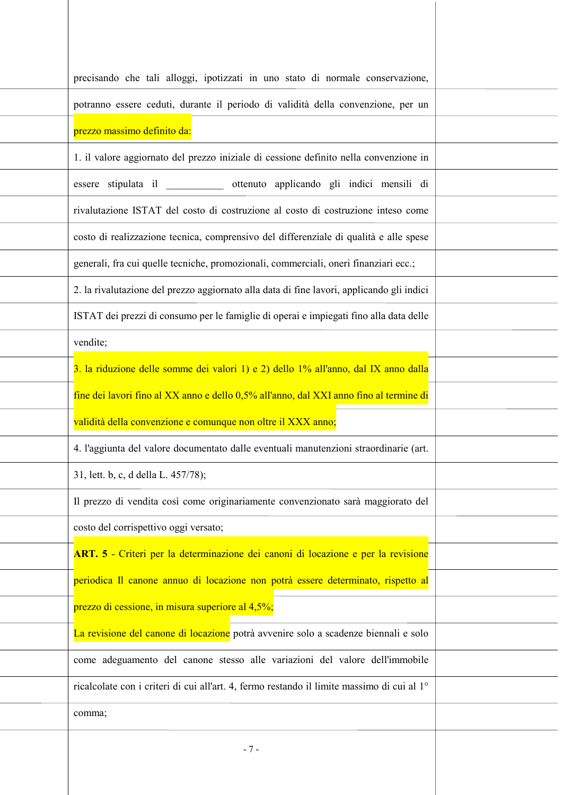| precisando che tali alloggi, ipotizzati in uno stato di normale conservazione,                         |  |
|--------------------------------------------------------------------------------------------------------|--|
| potranno essere ceduti, durante il periodo di validità della convenzione, per un                       |  |
| prezzo massimo definito da:                                                                            |  |
| 1. il valore aggiornato del prezzo iniziale di cessione definito nella convenzione in                  |  |
| essere stipulata il ____________ ottenuto applicando gli indici mensili di                             |  |
| rivalutazione ISTAT del costo di costruzione al costo di costruzione inteso come                       |  |
| costo di realizzazione tecnica, comprensivo del differenziale di qualità e alle spese                  |  |
| generali, fra cui quelle tecniche, promozionali, commerciali, oneri finanziari ecc.;                   |  |
| 2. la rivalutazione del prezzo aggiornato alla data di fine lavori, applicando gli indici              |  |
| ISTAT dei prezzi di consumo per le famiglie di operai e impiegati fino alla data delle                 |  |
| vendite;                                                                                               |  |
| 3. la riduzione delle somme dei valori 1) e 2) dello 1% all'anno, dal IX anno dalla                    |  |
| fine dei lavori fino al XX anno e dello 0,5% all'anno, dal XXI anno fino al termine di                 |  |
| validità della convenzione e comunque non oltre il XXX anno;                                           |  |
| 4. l'aggiunta del valore documentato dalle eventuali manutenzioni straordinarie (art.                  |  |
| 31, lett. b, c, d della L. 457/78);                                                                    |  |
| Il prezzo di vendita così come originariamente convenzionato sarà maggiorato del                       |  |
| costo del corrispettivo oggi versato;                                                                  |  |
| ART. 5 - Criteri per la determinazione dei canoni di locazione e per la revisione                      |  |
| periodica Il canone annuo di locazione non potrà essere determinato, rispetto al                       |  |
| prezzo di cessione, in misura superiore al 4,5%;                                                       |  |
| La revisione del canone di locazione potrà avvenire solo a scadenze biennali e solo                    |  |
| come adeguamento del canone stesso alle variazioni del valore dell'immobile                            |  |
| ricalcolate con i criteri di cui all'art. 4, fermo restando il limite massimo di cui al 1 <sup>°</sup> |  |
| comma;                                                                                                 |  |
| $-7-$                                                                                                  |  |
|                                                                                                        |  |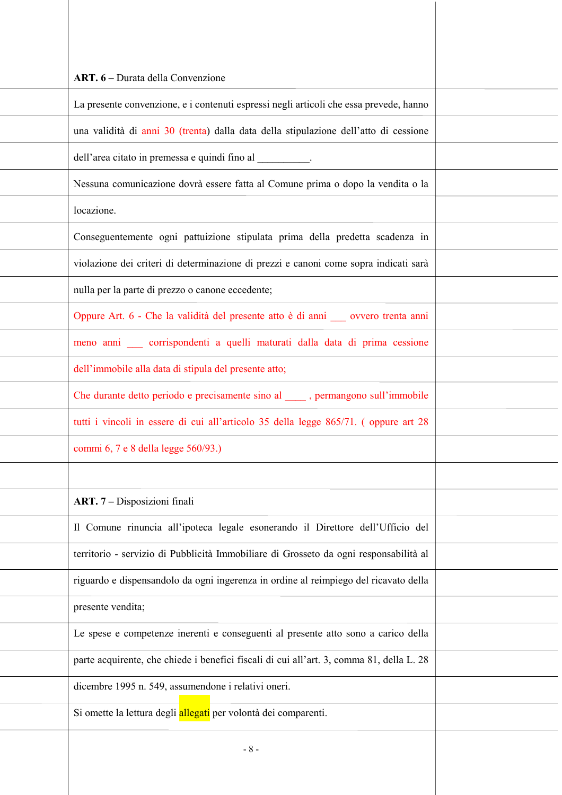| ART. 6 – Durata della Convenzione                                                        |  |
|------------------------------------------------------------------------------------------|--|
| La presente convenzione, e i contenuti espressi negli articoli che essa prevede, hanno   |  |
| una validità di anni 30 (trenta) dalla data della stipulazione dell'atto di cessione     |  |
| dell'area citato in premessa e quindi fino al _________.                                 |  |
| Nessuna comunicazione dovrà essere fatta al Comune prima o dopo la vendita o la          |  |
| locazione.                                                                               |  |
| Conseguentemente ogni pattuizione stipulata prima della predetta scadenza in             |  |
| violazione dei criteri di determinazione di prezzi e canoni come sopra indicati sarà     |  |
| nulla per la parte di prezzo o canone eccedente;                                         |  |
| Oppure Art. 6 - Che la validità del presente atto è di anni su ovvero trenta anni        |  |
| meno anni corrispondenti a quelli maturati dalla data di prima cessione                  |  |
| dell'immobile alla data di stipula del presente atto;                                    |  |
| Che durante detto periodo e precisamente sino al _____, permangono sull'immobile         |  |
| tutti i vincoli in essere di cui all'articolo 35 della legge 865/71. (oppure art 28      |  |
| commi 6, 7 e 8 della legge 560/93.)                                                      |  |
|                                                                                          |  |
| ART. 7 - Disposizioni finali                                                             |  |
| Il Comune rinuncia all'ipoteca legale esonerando il Direttore dell'Ufficio del           |  |
| territorio - servizio di Pubblicità Immobiliare di Grosseto da ogni responsabilità al    |  |
| riguardo e dispensandolo da ogni ingerenza in ordine al reimpiego del ricavato della     |  |
| presente vendita;                                                                        |  |
| Le spese e competenze inerenti e conseguenti al presente atto sono a carico della        |  |
| parte acquirente, che chiede i benefici fiscali di cui all'art. 3, comma 81, della L. 28 |  |
| dicembre 1995 n. 549, assumendone i relativi oneri.                                      |  |
| Si omette la lettura degli allegati per volontà dei comparenti.                          |  |
| $-8-$                                                                                    |  |